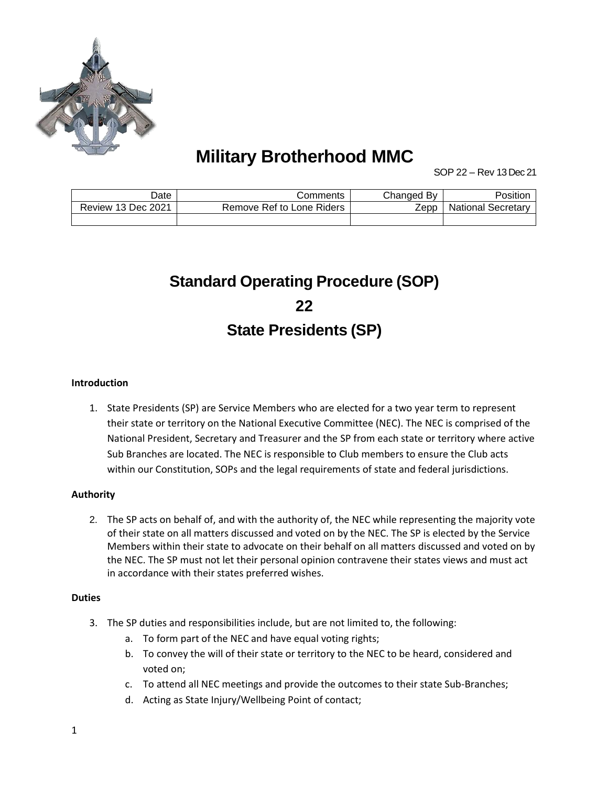

# **Military Brotherhood MMC**

SOP 22 – Rev 13 Dec 21

| Date                      | Comments                  | Changed Bv | Position                  |
|---------------------------|---------------------------|------------|---------------------------|
| <b>Review 13 Dec 2021</b> | Remove Ref to Lone Riders | Zepp       | <b>National Secretary</b> |
|                           |                           |            |                           |

# **Standard Operating Procedure (SOP) 22 State Presidents (SP)**

#### **Introduction**

1. State Presidents (SP) are Service Members who are elected for a two year term to represent their state or territory on the National Executive Committee (NEC). The NEC is comprised of the National President, Secretary and Treasurer and the SP from each state or territory where active Sub Branches are located. The NEC is responsible to Club members to ensure the Club acts within our Constitution, SOPs and the legal requirements of state and federal jurisdictions.

#### **Authority**

2. The SP acts on behalf of, and with the authority of, the NEC while representing the majority vote of their state on all matters discussed and voted on by the NEC. The SP is elected by the Service Members within their state to advocate on their behalf on all matters discussed and voted on by the NEC. The SP must not let their personal opinion contravene their states views and must act in accordance with their states preferred wishes.

#### **Duties**

- 3. The SP duties and responsibilities include, but are not limited to, the following:
	- a. To form part of the NEC and have equal voting rights;
	- b. To convey the will of their state or territory to the NEC to be heard, considered and voted on;
	- c. To attend all NEC meetings and provide the outcomes to their state Sub-Branches;
	- d. Acting as State Injury/Wellbeing Point of contact;